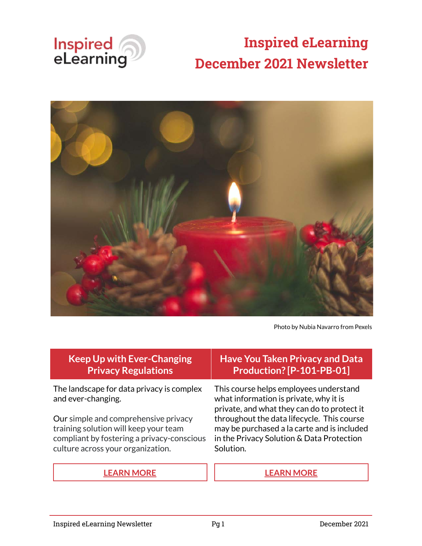

# **Inspired eLearning December 2021 Newsletter**



Photo by Nubia Navarro from Pexels

| <b>Keep Up with Ever-Changing</b><br><b>Privacy Regulations</b>                                                                                                  | <b>Have You Taken Privacy and Data</b><br>Production? [P-101-PB-01]                                                                                                                                                                                                                    |
|------------------------------------------------------------------------------------------------------------------------------------------------------------------|----------------------------------------------------------------------------------------------------------------------------------------------------------------------------------------------------------------------------------------------------------------------------------------|
| The landscape for data privacy is complex<br>and ever-changing.                                                                                                  | This course helps employees understand<br>what information is private, why it is<br>private, and what they can do to protect it<br>throughout the data lifecycle. This course<br>may be purchased a la carte and is included<br>in the Privacy Solution & Data Protection<br>Solution. |
| Our simple and comprehensive privacy<br>training solution will keep your team<br>compliant by fostering a privacy-conscious<br>culture across your organization. |                                                                                                                                                                                                                                                                                        |
|                                                                                                                                                                  |                                                                                                                                                                                                                                                                                        |

**[LEARN MORE](https://inspiredelearning.com/security-awareness/privacy-training/) [LEARN MORE](https://inspiredelearning.com/courses/privacy-awareness/)**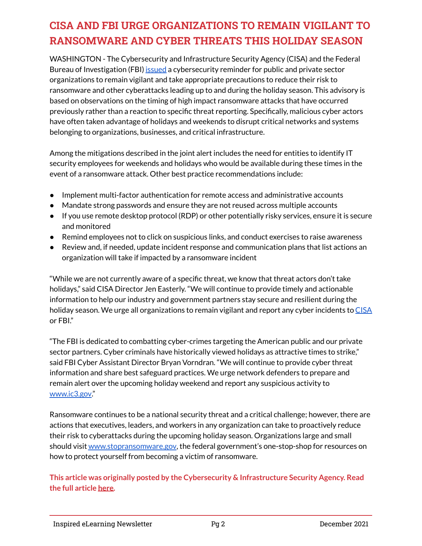# **CISA AND FBI URGE ORGANIZATIONS TO REMAIN VIGILANT TO RANSOMWARE AND CYBER THREATS THIS HOLIDAY SEASON**

WASHINGTON - The Cybersecurity and Infrastructure Security Agency (CISA) and the Federal Bureau of Investigation (FBI) [issued](https://go.usa.gov/xe577) a cybersecurity reminder for public and private sector organizations to remain vigilant and take appropriate precautions to reduce their risk to ransomware and other cyberattacks leading up to and during the holiday season. This advisory is based on observations on the timing of high impact ransomware attacks that have occurred previously rather than a reaction to specific threat reporting. Specifically, malicious cyber actors have often taken advantage of holidays and weekends to disrupt critical networks and systems belonging to organizations, businesses, and critical infrastructure.

Among the mitigations described in the joint alert includes the need for entities to identify IT security employees for weekends and holidays who would be available during these times in the event of a ransomware attack. Other best practice recommendations include:

- Implement multi-factor authentication for remote access and administrative accounts
- Mandate strong passwords and ensure they are not reused across multiple accounts
- If you use remote desktop protocol (RDP) or other potentially risky services, ensure it is secure and monitored
- Remind employees not to click on suspicious links, and conduct exercises to raise awareness
- Review and, if needed, update incident response and communication plans that list actions an organization will take if impacted by a ransomware incident

"While we are not currently aware of a specific threat, we know that threat actors don't take holidays," said CISA Director Jen Easterly. "We will continue to provide timely and actionable information to help our industry and government partners stay secure and resilient during the holiday season. We urge all organizations to remain vigilant and report any cyber incidents to [CISA](https://us-cert.cisa.gov/report) or FBI."

"The FBI is dedicated to combatting cyber-crimes targeting the American public and our private sector partners. Cyber criminals have historically viewed holidays as attractive times to strike," said FBI Cyber Assistant Director Bryan Vorndran. "We will continue to provide cyber threat information and share best safeguard practices. We urge network defenders to prepare and remain alert over the upcoming holiday weekend and report any suspicious activity to [www.ic3.gov](http://www.ic3.gov/)."

Ransomware continues to be a national security threat and a critical challenge; however, there are actions that executives, leaders, and workers in any organization can take to proactively reduce their risk to cyberattacks during the upcoming holiday season. Organizations large and small should visit [www.stopransomware.gov](http://www.stopransomware.gov/), the federal government's one-stop-shop for resources on how to protect yourself from becoming a victim of ransomware.

**This article was originally posted by the Cybersecurity & Infrastructure Security Agency. Read the full article [here.](https://www.cisa.gov/news/2021/11/22/cisa-and-fbi-urge-organizations-remain-vigilant-ransomware-and-cyber-threats)**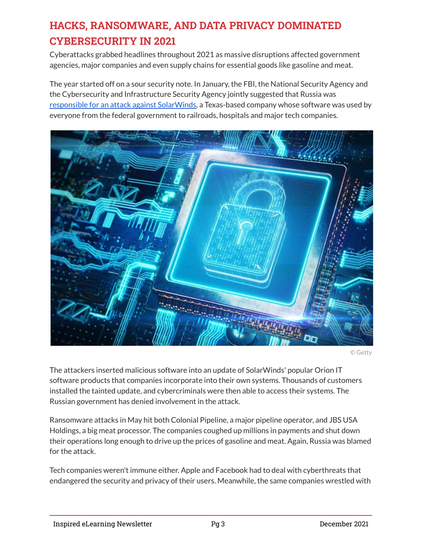# **HACKS, RANSOMWARE, AND DATA PRIVACY DOMINATED CYBERSECURITY IN 2021**

Cyberattacks grabbed headlines throughout 2021 as massive disruptions affected government agencies, major companies and even supply chains for essential goods like gasoline and meat.

The year started off on a sour security note. In January, the FBI, the National Security Agency and the Cybersecurity and Infrastructure Security Agency jointly suggested that Russia was [responsible for an attack against SolarWinds,](https://www.cnet.com/news/fbi-nsa-and-cisa-say-solarwinds-hack-was-likely-of-russian-origin/#ftag=MSF491fea7) a Texas-based company whose software was used by everyone from the federal government to railroads, hospitals and major tech companies.



© Getty

The attackers inserted malicious software into an update of SolarWinds' popular Orion IT software products that companies incorporate into their own systems. Thousands of customers installed the tainted update, and cybercriminals were then able to access their systems. The Russian government has denied involvement in the attack.

Ransomware attacks in May hit both Colonial Pipeline, a major pipeline operator, and JBS USA Holdings, a big meat processor. The companies coughed up millions in payments and shut down their operations long enough to drive up the prices of gasoline and meat. Again, Russia was blamed for the attack.

Tech companies weren't immune either. Apple and Facebook had to deal with cyberthreats that endangered the security and privacy of their users. Meanwhile, the same companies wrestled with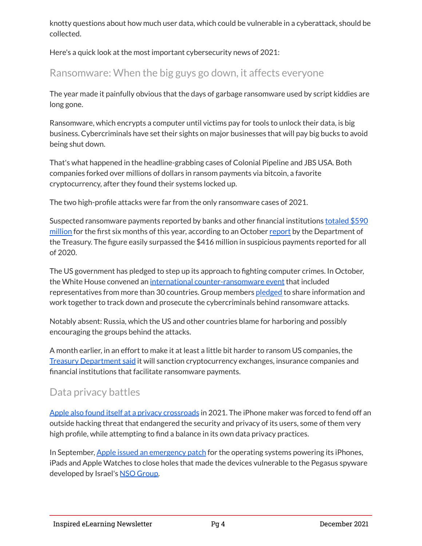knotty questions about how much user data, which could be vulnerable in a cyberattack, should be collected.

Here's a quick look at the most important cybersecurity news of 2021:

## Ransomware: When the big guys go down, it affects everyone

The year made it painfully obvious that the days of garbage ransomware used by script kiddies are long gone.

Ransomware, which encrypts a computer until victims pay for tools to unlock their data, is big business. Cybercriminals have set their sights on major businesses that will pay big bucks to avoid being shut down.

That's what happened in the headline-grabbing cases of Colonial Pipeline and JBS USA. Both companies forked over millions of dollars in ransom payments via bitcoin, a favorite cryptocurrency, after they found their systems locked up.

The two high-profile attacks were far from the only ransomware cases of 2021.

Suspected ransomware payments reported by banks and other financial institutions [totaled \\$590](https://www.cnet.com/tech/services-and-software/suspected-ransomware-payments-total-nearly-600-million-for-first-half-of-2021/#ftag=MSF491fea7) [million](https://www.cnet.com/tech/services-and-software/suspected-ransomware-payments-total-nearly-600-million-for-first-half-of-2021/#ftag=MSF491fea7) for the first six months of this year, according to an October [report](https://www.fincen.gov/sites/default/files/2021-10/Financial%20Trend%20Analysis_Ransomware%20508%20FINAL.pdf) by the Department of the Treasury. The figure easily surpassed the \$416 million in suspicious payments reported for all of 2020.

The US government has pledged to step up its approach to fighting computer crimes. In October, the White House convened an [international counter-ransomware event](https://www.cnet.com/news/white-house-is-hosting-a-global-ransomware-summit-without-russia/#ftag=MSF491fea7) that included representatives from more than 30 countries. Group members [pledged](https://www.whitehouse.gov/briefing-room/statements-releases/2021/10/14/joint-statement-of-the-ministers-and-representatives-from-the-counter-ransomware-initiative-meeting-october-2021/) to share information and work together to track down and prosecute the cybercriminals behind ransomware attacks.

Notably absent: Russia, which the US and other countries blame for harboring and possibly encouraging the groups behind the attacks.

A month earlier, in an effort to make it at least a little bit harder to ransom US companies, the [Treasury Department said](https://home.treasury.gov/news/press-releases/jy0364) it will sanction cryptocurrency exchanges, insurance companies and financial institutions that facilitate ransomware payments.

### Data privacy battles

[Apple also found itself at a privacy crossroads](https://www.cnet.com/news/apple-long-a-champion-of-consumer-privacy-and-security-now-sits-at-a-crossroads/#ftag=MSF491fea7) in 2021. The iPhone maker was forced to fend off an outside hacking threat that endangered the security and privacy of its users, some of them very high profile, while attempting to find a balance in its own data privacy practices.

In September, [Apple issued an emergency patch](https://support.apple.com/en-us/HT201222) for the operating systems powering its iPhones, iPads and Apple Watches to close holes that made the devices vulnerable to the Pegasus spyware developed by Israel's [NSO Group.](https://www.nsogroup.com/)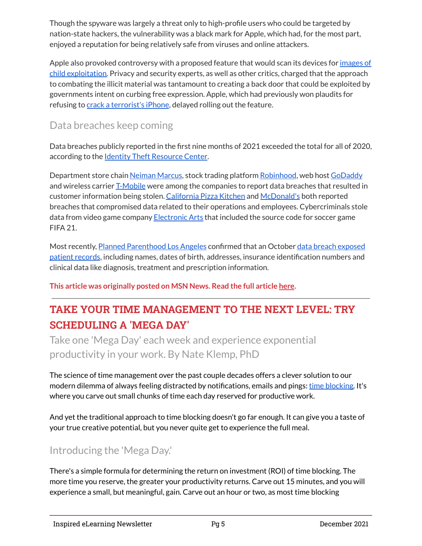Though the spyware was largely a threat only to high-profile users who could be targeted by nation-state hackers, the vulnerability was a black mark for Apple, which had, for the most part, enjoyed a reputation for being relatively safe from viruses and online attackers.

Apple also provoked controversy with a proposed feature that would scan its devices for [images of](https://www.cnet.com/news/iphone-privacy-how-apples-plan-to-go-after-child-abuse-could-affect-you/#ftag=MSF491fea7) [child exploitation.](https://www.cnet.com/news/iphone-privacy-how-apples-plan-to-go-after-child-abuse-could-affect-you/#ftag=MSF491fea7) Privacy and security experts, as well as other critics, charged that the approach to combating the illicit material was tantamount to creating a back door that could be exploited by governments intent on curbing free expression. Apple, which had previously won plaudits for refusing to [crack a terrorist's iPhone](https://www.cnet.com/news/fbi-asked-apple-to-unlock-iphone-before-trying-all-its-options/#ftag=MSF491fea7), delayed rolling out the feature.

# Data breaches keep coming

Data breaches publicly reported in the first nine months of 2021 exceeded the total for all of 2020, according to the [Identity Theft Resource Center](https://www.idtheftcenter.org/identity-theft-resource-center-to-share-latest-data-breach-analysis-with-u-s-senate-commerce-committee-number-of-data-breaches-in-2021-surpasses-all-of-2020/).

Department store chain [Neiman Marcus](https://www.cnet.com/news/neiman-marcus-says-3-1-million-payment-and-gift-cards-compromised-in-breach/#ftag=MSF491fea7), stock trading platform [Robinhood](https://www.cnet.com/news/robinhood-data-breach-exposed-7-million-customers/#ftag=MSF491fea7), web host [GoDaddy](https://www.cnet.com/news/godaddy-data-breach-exposes-information-from-over-1-million-users/#ftag=MSF491fea7) and wireless carrier [T-Mobile](https://www.cnet.com/news/t-mobile-hack-heres-what-we-know-about-the-massive-data-breach/#ftag=MSF491fea7) were among the companies to report data breaches that resulted in customer information being stolen. [California Pizza Kitchen](https://www.cnet.com/news/social-security-numbers-of-100000-california-pizza-kitchen-workers-exposed-in-breach/#ftag=MSF491fea7) and [McDonald's](https://www.cnet.com/news/mcdonalds-cyberattack-exposes-data-in-the-us-and-south-korea/#ftag=MSF491fea7) both reported breaches that compromised data related to their operations and employees. Cybercriminals stole data from video game company [Electronic Arts](https://www.cnet.com/news/hackers-hit-ea-steal-source-code-for-fifa-21-and-more/#ftag=MSF491fea7) that included the source code for soccer game FIFA 21.

Most recently, [Planned Parenthood Los Angeles](https://www.cnet.com/news/planned-parenthood-data-breach-leaks-patient-records/#ftag=MSF491fea7) confirmed that an October [data breach exposed](https://www.plannedparenthood.org/planned-parenthood-los-angeles/notice) [patient records](https://www.plannedparenthood.org/planned-parenthood-los-angeles/notice), including names, dates of birth, addresses, insurance identification numbers and clinical data like diagnosis, treatment and prescription information.

**This article was originally posted on MSN News. Read the full article [here](https://www.msn.com/en-us/news/technology/hacks-ransomware-and-data-privacy-dominated-cybersecurity-in-2021/ar-AARwcfd?ocid=uxbndlbing).**

# **TAKE YOUR TIME MANAGEMENT TO THE NEXT LEVEL: TRY SCHEDULING A 'MEGA DAY'**

Take one 'Mega Day' each week and experience exponential productivity in your work. By Nate Klemp, PhD

The science of time management over the past couple decades offers a clever solution to our modern dilemma of always feeling distracted by notifications, emails and pings: [time blocking.](https://www.inc.com/ford-transit-connect/tip-of-the-day/time-blocking-is-the-productivity-tool-you-need.html?cid=search) It's where you carve out small chunks of time each day reserved for productive work.

And yet the traditional approach to time blocking doesn't go far enough. It can give you a taste of your true creative potential, but you never quite get to experience the full meal.

# Introducing the 'Mega Day.'

There's a simple formula for determining the return on investment (ROI) of time blocking. The more time you reserve, the greater your productivity returns. Carve out 15 minutes, and you will experience a small, but meaningful, gain. Carve out an hour or two, as most time blocking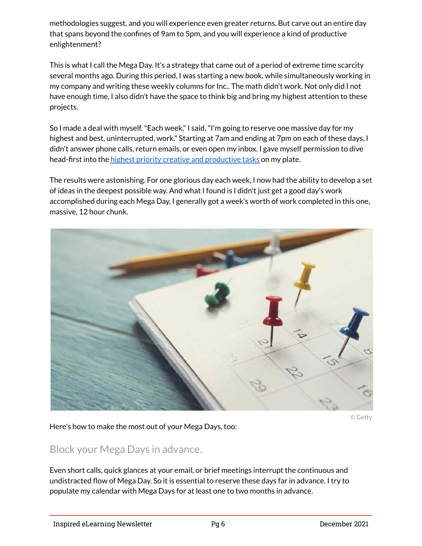methodologies suggest, and you will experience even greater returns. But carve out an entire day that spans beyond the confines of 9am to 5pm, and you will experience a kind of productive enlightenment?

This is what I call the Mega Day. It's a strategy that came out of a period of extreme time scarcity several months ago. During this period, I was starting a new book, while simultaneously working in my company and writing these weekly columns for Inc.. The math didn't work. Not only did I not have enough time, I also didn't have the space to think big and bring my highest attention to these projects.

So I made a deal with myself. "Each week," I said, "I'm going to reserve one massive day for my highest and best, uninterrupted, work." Starting at 7am and ending at 7pm on each of these days, I didn't answer phone calls, return emails, or even open my inbox. I gave myself permission to dive head-first into the [highest priority creative and productive tasks](https://www.inc.com/matt-plummer/why-most-people-dont-accomplish-their-priorities.html?cid=search) on my plate.

The results were astonishing. For one glorious day each week, I now had the ability to develop a set of ideas in the deepest possible way. And what I found is I didn't just get a good day's work accomplished during each Mega Day, I generally got a week's worth of work completed in this one, massive, 12 hour chunk.



© Getty

Here's how to make the most out of your Mega Days, too:

#### Block your Mega Days in advance.

Even short calls, quick glances at your email, or brief meetings interrupt the continuous and undistracted flow of Mega Day. So it is essential to reserve these days far in advance. I try to populate my calendar with Mega Days for at least one to two months in advance.